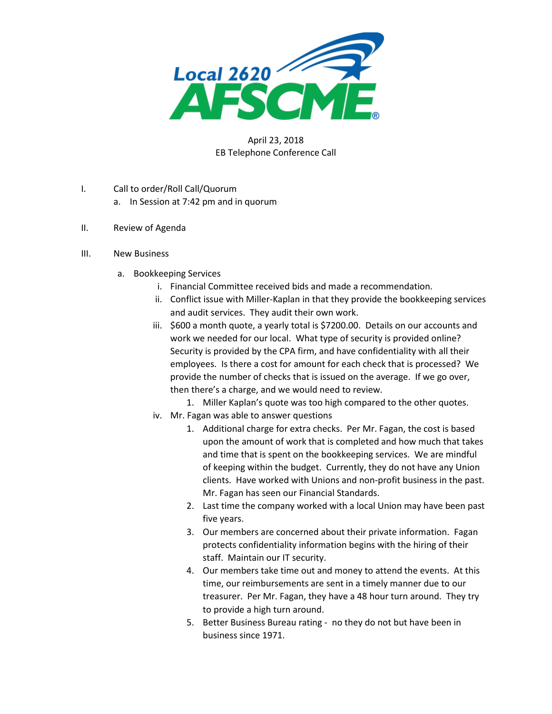

## April 23, 2018 EB Telephone Conference Call

- I. Call to order/Roll Call/Quorum
	- a. In Session at 7:42 pm and in quorum
- II. Review of Agenda
- III. New Business
	- a. Bookkeeping Services
		- i. Financial Committee received bids and made a recommendation.
		- ii. Conflict issue with Miller-Kaplan in that they provide the bookkeeping services and audit services. They audit their own work.
		- iii. \$600 a month quote, a yearly total is \$7200.00. Details on our accounts and work we needed for our local. What type of security is provided online? Security is provided by the CPA firm, and have confidentiality with all their employees. Is there a cost for amount for each check that is processed? We provide the number of checks that is issued on the average. If we go over, then there's a charge, and we would need to review.
			- 1. Miller Kaplan's quote was too high compared to the other quotes.
		- iv. Mr. Fagan was able to answer questions
			- 1. Additional charge for extra checks. Per Mr. Fagan, the cost is based upon the amount of work that is completed and how much that takes and time that is spent on the bookkeeping services. We are mindful of keeping within the budget. Currently, they do not have any Union clients. Have worked with Unions and non-profit business in the past. Mr. Fagan has seen our Financial Standards.
			- 2. Last time the company worked with a local Union may have been past five years.
			- 3. Our members are concerned about their private information. Fagan protects confidentiality information begins with the hiring of their staff. Maintain our IT security.
			- 4. Our members take time out and money to attend the events. At this time, our reimbursements are sent in a timely manner due to our treasurer. Per Mr. Fagan, they have a 48 hour turn around. They try to provide a high turn around.
			- 5. Better Business Bureau rating no they do not but have been in business since 1971.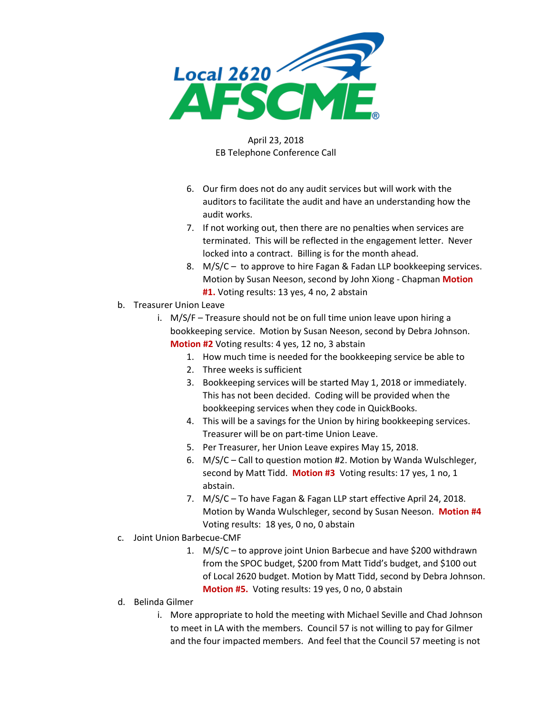

## April 23, 2018 EB Telephone Conference Call

- 6. Our firm does not do any audit services but will work with the auditors to facilitate the audit and have an understanding how the audit works.
- 7. If not working out, then there are no penalties when services are terminated. This will be reflected in the engagement letter. Never locked into a contract. Billing is for the month ahead.
- 8. M/S/C to approve to hire Fagan & Fadan LLP bookkeeping services. Motion by Susan Neeson, second by John Xiong - Chapman **Motion #1.** Voting results: 13 yes, 4 no, 2 abstain
- b. Treasurer Union Leave
	- i. M/S/F Treasure should not be on full time union leave upon hiring a bookkeeping service. Motion by Susan Neeson, second by Debra Johnson. **Motion #2** Voting results: 4 yes, 12 no, 3 abstain
		- 1. How much time is needed for the bookkeeping service be able to
		- 2. Three weeks is sufficient
		- 3. Bookkeeping services will be started May 1, 2018 or immediately. This has not been decided. Coding will be provided when the bookkeeping services when they code in QuickBooks.
		- 4. This will be a savings for the Union by hiring bookkeeping services. Treasurer will be on part-time Union Leave.
		- 5. Per Treasurer, her Union Leave expires May 15, 2018.
		- 6. M/S/C Call to question motion #2. Motion by Wanda Wulschleger, second by Matt Tidd. **Motion #3** Voting results: 17 yes, 1 no, 1 abstain.
		- 7. M/S/C To have Fagan & Fagan LLP start effective April 24, 2018. Motion by Wanda Wulschleger, second by Susan Neeson. **Motion #4** Voting results: 18 yes, 0 no, 0 abstain
- c. Joint Union Barbecue-CMF
	- 1. M/S/C to approve joint Union Barbecue and have \$200 withdrawn from the SPOC budget, \$200 from Matt Tidd's budget, and \$100 out of Local 2620 budget. Motion by Matt Tidd, second by Debra Johnson. **Motion #5.** Voting results: 19 yes, 0 no, 0 abstain
- d. Belinda Gilmer
	- i. More appropriate to hold the meeting with Michael Seville and Chad Johnson to meet in LA with the members. Council 57 is not willing to pay for Gilmer and the four impacted members. And feel that the Council 57 meeting is not